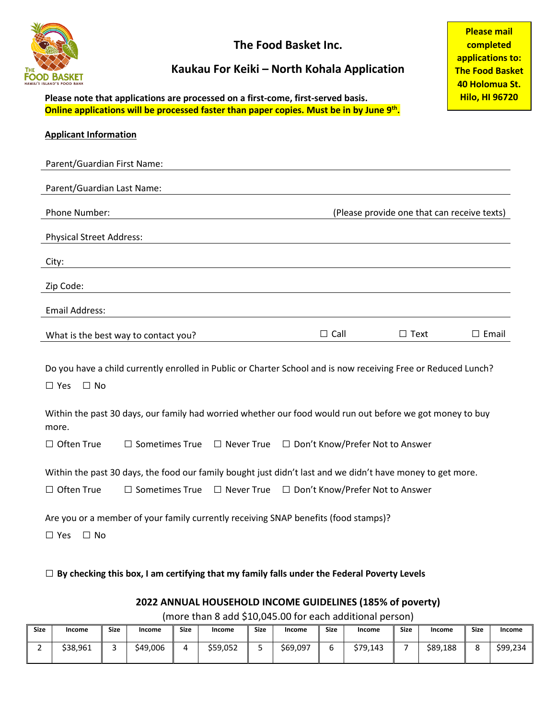

**The Food Basket Inc.**

## **Kaukau For Keiki – North Kohala Application**

**Please note that applications are processed on a first-come, first-served basis. Online applications will be processed faster than paper copies. Must be in by June 9th.**

| <b>Applicant Information</b>                                                                                                                                                                                       |                                      |  |                                                                                |                                             |                 |
|--------------------------------------------------------------------------------------------------------------------------------------------------------------------------------------------------------------------|--------------------------------------|--|--------------------------------------------------------------------------------|---------------------------------------------|-----------------|
| Parent/Guardian First Name:                                                                                                                                                                                        |                                      |  |                                                                                |                                             |                 |
| Parent/Guardian Last Name:                                                                                                                                                                                         |                                      |  |                                                                                |                                             |                 |
| Phone Number:                                                                                                                                                                                                      |                                      |  |                                                                                | (Please provide one that can receive texts) |                 |
| <b>Physical Street Address:</b>                                                                                                                                                                                    |                                      |  |                                                                                |                                             |                 |
| City:                                                                                                                                                                                                              |                                      |  |                                                                                |                                             |                 |
| Zip Code:                                                                                                                                                                                                          |                                      |  |                                                                                |                                             |                 |
| Email Address:                                                                                                                                                                                                     |                                      |  |                                                                                |                                             |                 |
|                                                                                                                                                                                                                    | What is the best way to contact you? |  | $\Box$ Call                                                                    | $\Box$ Text                                 | $\square$ Email |
| Do you have a child currently enrolled in Public or Charter School and is now receiving Free or Reduced Lunch?<br>$\Box$ Yes<br>$\Box$ No                                                                          |                                      |  |                                                                                |                                             |                 |
| Within the past 30 days, our family had worried whether our food would run out before we got money to buy<br>more.                                                                                                 |                                      |  |                                                                                |                                             |                 |
| $\Box$ Often True                                                                                                                                                                                                  |                                      |  | $\Box$ Sometimes True $\Box$ Never True $\Box$ Don't Know/Prefer Not to Answer |                                             |                 |
| Within the past 30 days, the food our family bought just didn't last and we didn't have money to get more.<br>$\Box$ Often True<br>$\Box$ Sometimes True<br>$\Box$ Never True<br>□ Don't Know/Prefer Not to Answer |                                      |  |                                                                                |                                             |                 |
| Are you or a member of your family currently receiving SNAP benefits (food stamps)?<br>$\Box$ Yes<br>$\Box$ No                                                                                                     |                                      |  |                                                                                |                                             |                 |

□ **By checking this box, I am certifying that my family falls under the Federal Poverty Levels**

#### **2022 ANNUAL HOUSEHOLD INCOME GUIDELINES (185% of poverty)**

(more than 8 add \$10,045.00 for each additional person)

| <b>Size</b> | Income   | <b>Size</b> | Income   | <b>Size</b> | Income   | <b>Size</b> | Income   | <b>Size</b> | <b>Income</b> | <b>Size</b> | Income   | <b>Size</b> | Income   |
|-------------|----------|-------------|----------|-------------|----------|-------------|----------|-------------|---------------|-------------|----------|-------------|----------|
|             | \$38,961 |             | \$49,006 | д           | \$59,052 | ے           | \$69,097 |             | \$79.143      |             | \$89,188 | с           | \$99,234 |